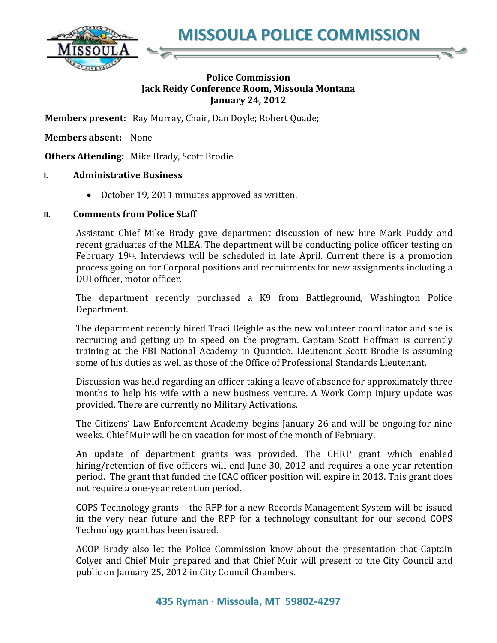**MISSOULA POLICE COMMISSION**



## **Police Commission Jack Reidy Conference Room, Missoula Montana January 24, 2012**

**Members present:** Ray Murray, Chair, Dan Doyle; Robert Quade;

**Members absent:** None

**Others Attending:** Mike Brady, Scott Brodie

## **I. Administrative Business**

October 19, 2011 minutes approved as written.

## **II. Comments from Police Staff**

Assistant Chief Mike Brady gave department discussion of new hire Mark Puddy and recent graduates of the MLEA. The department will be conducting police officer testing on February 19th. Interviews will be scheduled in late April. Current there is a promotion process going on for Corporal positions and recruitments for new assignments including a DUI officer, motor officer.

The department recently purchased a K9 from Battleground, Washington Police Department.

The department recently hired Traci Beighle as the new volunteer coordinator and she is recruiting and getting up to speed on the program. Captain Scott Hoffman is currently training at the FBI National Academy in Quantico. Lieutenant Scott Brodie is assuming some of his duties as well as those of the Office of Professional Standards Lieutenant.

Discussion was held regarding an officer taking a leave of absence for approximately three months to help his wife with a new business venture. A Work Comp injury update was provided. There are currently no Military Activations.

The Citizens' Law Enforcement Academy begins January 26 and will be ongoing for nine weeks. Chief Muir will be on vacation for most of the month of February.

An update of department grants was provided. The CHRP grant which enabled hiring/retention of five officers will end June 30, 2012 and requires a one-year retention period. The grant that funded the ICAC officer position will expire in 2013. This grant does not require a one-year retention period.

COPS Technology grants – the RFP for a new Records Management System will be issued in the very near future and the RFP for a technology consultant for our second COPS Technology grant has been issued.

ACOP Brady also let the Police Commission know about the presentation that Captain Colyer and Chief Muir prepared and that Chief Muir will present to the City Council and public on January 25, 2012 in City Council Chambers.